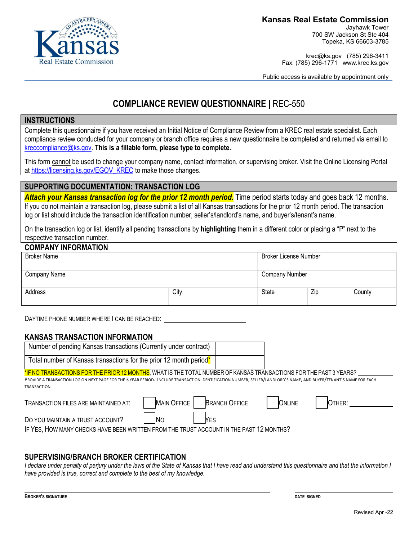

Jayhawk Tower 700 SW Jackson St Ste 404 Topeka, KS 66603-3785

krec@ks.gov (785) 296-3411 Fax: (785) 296-1771 www.krec.ks.gov

Public access is available by appointment only

# **COMPLIANCE REVIEW QUESTIONNAIRE |** REC-550

## **INSTRUCTIONS**

Complete this questionnaire if you have received an Initial Notice of Compliance Review from a KREC real estate specialist. Each compliance review conducted for your company or branch office requires a new questionnaire be completed and returned via email to [kreccompliance@ks.gov.](mailto:kreccompliance@ks.gov) **This is a fillable form, please type to complete.** 

This form cannot be used to change your company name, contact information, or supervising broker. Visit the Online Licensing Portal at [https://licensing.ks.gov/EGOV\\_KREC](https://licensing.ks.gov/EGOV_KREC) to make those changes.

## **SUPPORTING DOCUMENTATION: TRANSACTION LOG**

**Attach your Kansas transaction log for the prior 12 month period.** Time period starts today and goes back 12 months. If you do not maintain a transaction log, please submit a list of all Kansas transactions for the prior 12 month period. The transaction log or list should include the transaction identification number, seller's/landlord's name, and buyer's/tenant's name.

On the transaction log or list, identify all pending transactions by **highlighting** them in a different color or placing a "P" next to the respective transaction number.

| <b>COMPANY INFORMATION</b> |      |                              |     |        |  |  |
|----------------------------|------|------------------------------|-----|--------|--|--|
| <b>Broker Name</b>         |      | <b>Broker License Number</b> |     |        |  |  |
|                            |      |                              |     |        |  |  |
| Company Name               |      | <b>Company Number</b>        |     |        |  |  |
|                            |      |                              |     |        |  |  |
| Address                    | City | <b>State</b>                 | Zip | County |  |  |
|                            |      |                              |     |        |  |  |

DAYTIME PHONE NUMBER WHERE I CAN BE REACHED:

#### **KANSAS TRANSACTION INFORMATION**

| Number of pending Kansas transactions (Currently under contract)                                                                                                                                                                                                                                              |             |                                       |        |  |
|---------------------------------------------------------------------------------------------------------------------------------------------------------------------------------------------------------------------------------------------------------------------------------------------------------------|-------------|---------------------------------------|--------|--|
| Total number of Kansas transactions for the prior 12 month period <sup>*</sup>                                                                                                                                                                                                                                |             |                                       |        |  |
| *IF NO TRANSACTIONS FOR THE PRIOR 12 MONTHS, WHAT IS THE TOTAL NUMBER OF KANSAS TRANSACTIONS FOR THE PAST 3 YEARS?<br>PROVIDE A TRANSACTION LOG ON NEXT PAGE FOR THE 3 YEAR PERIOD. INCLUDE TRANSACTION IDENTIFICATION NUMBER, SELLER/LANDLORD'S NAME, AND BUYER/TENANT'S NAME FOR EACH<br><b>TRANSACTION</b> |             |                                       |        |  |
| TRANSACTION FILES ARE MAINTAINED AT:                                                                                                                                                                                                                                                                          | MAIN OFFICE | <b>BRANCH OFFICE</b><br><b>ONLINE</b> | OTHER: |  |
| DO YOU MAINTAIN A TRUST ACCOUNT?                                                                                                                                                                                                                                                                              | YES         |                                       |        |  |

IF YES, HOW MANY CHECKS HAVE BEEN WRITTEN FROM THE TRUST ACCOUNT IN THE PAST 12 MONTHS?

### **SUPERVISING/BRANCH BROKER CERTIFICATION**

*I declare under penalty of perjury under the laws of the State of Kansas that I have read and understand this questionnaire and that the information I have provided is true, correct and complete to the best of my knowledge.*

l